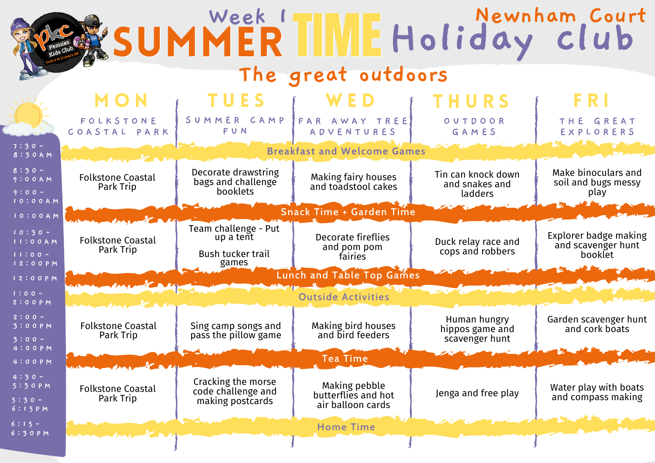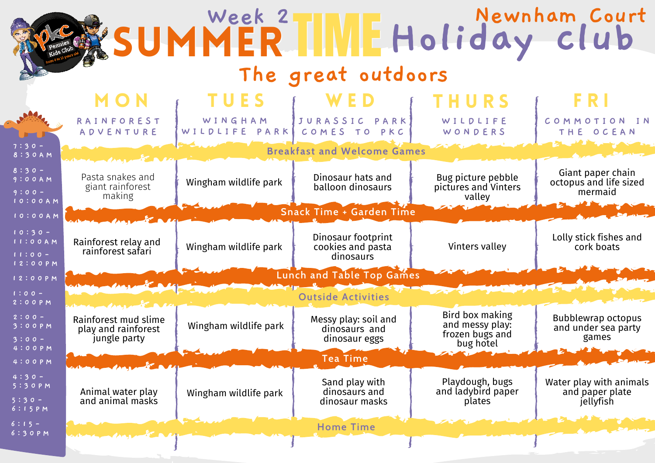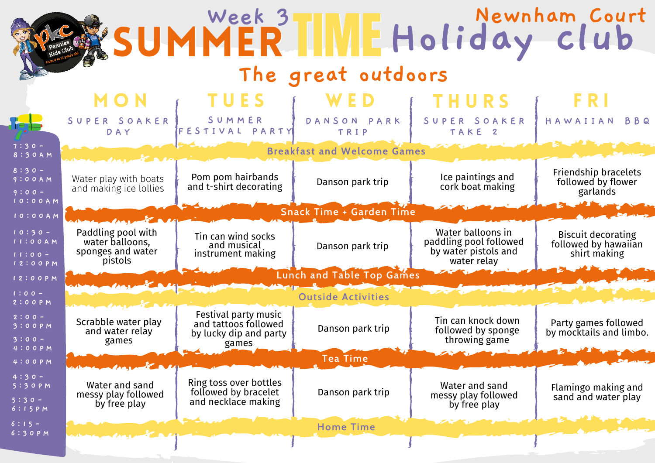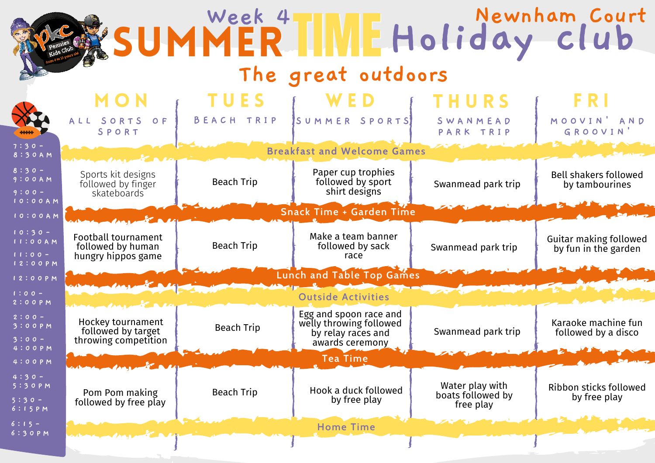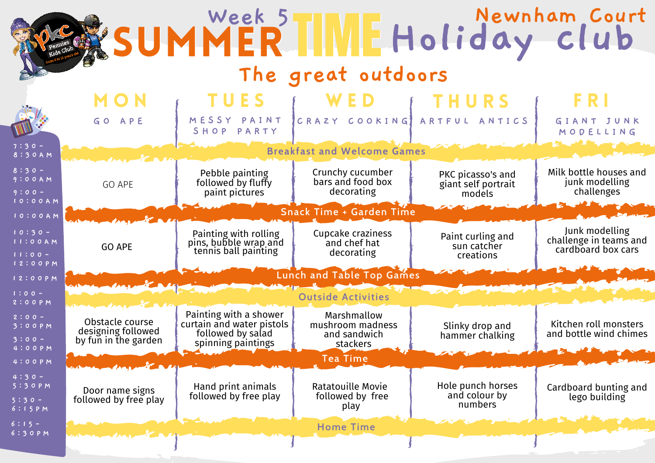